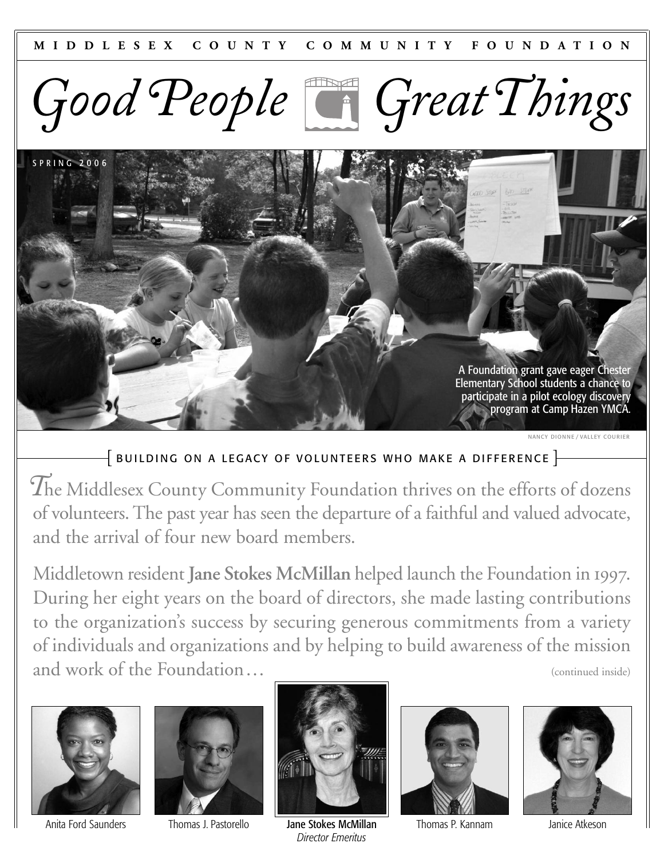



NANCY DIONNE / VALLEY COURIER

### $\left\{$  BUILDING ON A LEGACY OF VOLUNTEERS WHO MAKE A DIFFERENCE  $\left\}$

*T*he Middlesex County Community Foundation thrives on the efforts of dozens of volunteers. The past year has seen the departure of a faithful and valued advocate, and the arrival of four new board members.

Middletown resident **Jane Stokes McMillan** helped launch the Foundation in 1997. During her eight years on the board of directors, she made lasting contributions to the organization's success by securing generous commitments from a variety of individuals and organizations and by helping to build awareness of the mission and work of the Foundation…







Thomas J. Pastorello Jane Stokes McMillan Anita Ford Saunders Thomas P. Kannam Janice Atkeson *Director Emeritus*



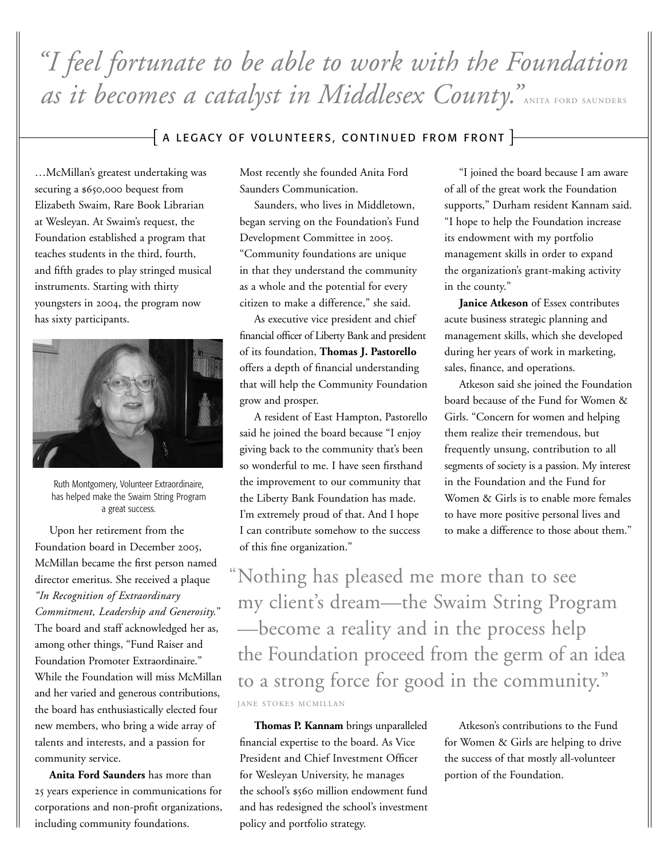# *"I feel fortunate to be able to work with the Foundation*  as it becomes a catalyst in Middlesex County." ANITA FORD SAUNDERS

### $\bar{+}$  A LEGACY OF VOLUNTEERS, CONTINUED FROM FRONT  $\bar{+}$

…McMillan's greatest undertaking was securing a \$650,000 bequest from Elizabeth Swaim, Rare Book Librarian at Wesleyan. At Swaim's request, the Foundation established a program that teaches students in the third, fourth, and fifth grades to play stringed musical instruments. Starting with thirty youngsters in 2004, the program now has sixty participants.



Ruth Montgomery, Volunteer Extraordinaire, has helped make the Swaim String Program a great success.

Upon her retirement from the Foundation board in December 2005, McMillan became the first person named director emeritus. She received a plaque *"In Recognition of Extraordinary Commitment, Leadership and Generosity."* The board and staff acknowledged her as, among other things, "Fund Raiser and Foundation Promoter Extraordinaire." While the Foundation will miss McMillan and her varied and generous contributions, the board has enthusiastically elected four new members, who bring a wide array of talents and interests, and a passion for community service.

**Anita Ford Saunders** has more than 25 years experience in communications for corporations and non-profit organizations, including community foundations.

Most recently she founded Anita Ford Saunders Communication.

Saunders, who lives in Middletown, began serving on the Foundation's Fund Development Committee in 2005. "Community foundations are unique in that they understand the community as a whole and the potential for every citizen to make a difference," she said.

As executive vice president and chief financial officer of Liberty Bank and president of its foundation, **Thomas J. Pastorello** offers a depth of financial understanding that will help the Community Foundation grow and prosper.

A resident of East Hampton, Pastorello said he joined the board because "I enjoy giving back to the community that's been so wonderful to me. I have seen firsthand the improvement to our community that the Liberty Bank Foundation has made. I'm extremely proud of that. And I hope I can contribute somehow to the success of this fine organization."

"I joined the board because I am aware of all of the great work the Foundation supports," Durham resident Kannam said. "I hope to help the Foundation increase its endowment with my portfolio management skills in order to expand the organization's grant-making activity in the county."

**Janice Atkeson** of Essex contributes acute business strategic planning and management skills, which she developed during her years of work in marketing, sales, finance, and operations.

Atkeson said she joined the Foundation board because of the Fund for Women & Girls. "Concern for women and helping them realize their tremendous, but frequently unsung, contribution to all segments of society is a passion. My interest in the Foundation and the Fund for Women & Girls is to enable more females to have more positive personal lives and to make a difference to those about them."

Nothing has pleased me more than to see "my client's dream—the Swaim String Program —become a reality and in the process help the Foundation proceed from the germ of an idea to a strong force for good in the community." JANE STOKES MCMILLAN

**Thomas P. Kannam** brings unparalleled financial expertise to the board. As Vice President and Chief Investment Officer for Wesleyan University, he manages the school's \$560 million endowment fund and has redesigned the school's investment policy and portfolio strategy.

Atkeson's contributions to the Fund for Women & Girls are helping to drive the success of that mostly all-volunteer portion of the Foundation.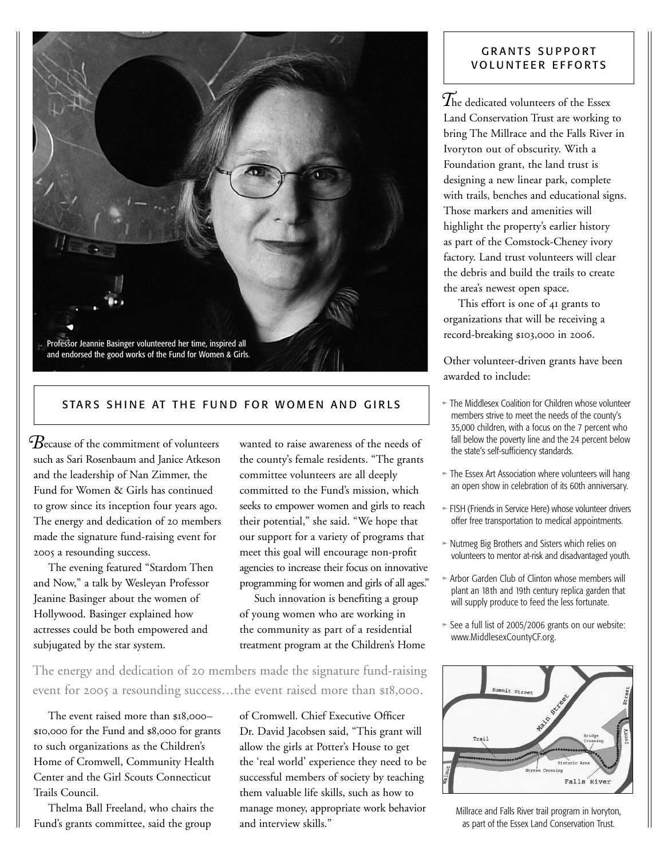

### STARS SHINE AT THE FUND FOR WOMEN AND GIRLS

*B*ecause of the commitment of volunteers such as Sari Rosenbaum and Janice Atkeson and the leadership of Nan Zimmer, the Fund for Women & Girls has continued to grow since its inception four years ago. The energy and dedication of 20 members made the signature fund-raising event for 2005 a resounding success.

The evening featured "Stardom Then and Now," a talk by Wesleyan Professor Jeanine Basinger about the women of Hollywood. Basinger explained how actresses could be both empowered and subjugated by the star system.

wanted to raise awareness of the needs of the county's female residents. "The grants committee volunteers are all deeply committed to the Fund's mission, which seeks to empower women and girls to reach their potential," she said. "We hope that our support for a variety of programs that meet this goal will encourage non-profit agencies to increase their focus on innovative programming for women and girls of all ages."

Such innovation is benefiting a group of young women who are working in the community as part of a residential treatment program at the Children's Home

The energy and dedication of 20 members made the signature fund-raising event for 2005 a resounding success...the event raised more than \$18,000.

The event raised more than \$18,000– \$10,000 for the Fund and \$8,000 for grants to such organizations as the Children's Home of Cromwell, Community Health Center and the Girl Scouts Connecticut Trails Council.

Thelma Ball Freeland, who chairs the Fund's grants committee, said the group

of Cromwell. Chief Executive Officer Dr. David Jacobsen said, "This grant will allow the girls at Potter's House to get the 'real world' experience they need to be successful members of society by teaching them valuable life skills, such as how to manage money, appropriate work behavior and interview skills."

### GRANTS SUPPORT VOLUNTEER EFFORTS

 $\widetilde{T}$ he dedicated volunteers of the Essex Land Conservation Trust are working to bring The Millrace and the Falls River in Ivoryton out of obscurity. With a Foundation grant, the land trust is designing a new linear park, complete with trails, benches and educational signs. Those markers and amenities will highlight the property's earlier history as part of the Comstock-Cheney ivory factory. Land trust volunteers will clear the debris and build the trails to create the area's newest open space.

This effort is one of 41 grants to organizations that will be receiving a record-breaking \$103,000 in 2006.

Other volunteer-driven grants have been awarded to include:

- > The Middlesex Coalition for Children whose volunteer members strive to meet the needs of the county's 35,000 children, with a focus on the 7 percent who fall below the poverty line and the 24 percent below the state's self-sufficiency standards.
- $\triangleright$  The Essex Art Association where volunteers will hang an open show in celebration of its 60th anniversary.
- > FISH (Friends in Service Here) whose volunteer drivers offer free transportation to medical appointments.
- > Nutmeg Big Brothers and Sisters which relies on volunteers to mentor at-risk and disadvantaged youth.
- $\triangleright$  Arbor Garden Club of Clinton whose members will plant an 18th and 19th century replica garden that will supply produce to feed the less fortunate.
- > See a full list of 2005/2006 grants on our website: www.MiddlesexCountyCF.org.



Millrace and Falls River trail program in Ivoryton, as part of the Essex Land Conservation Trust.